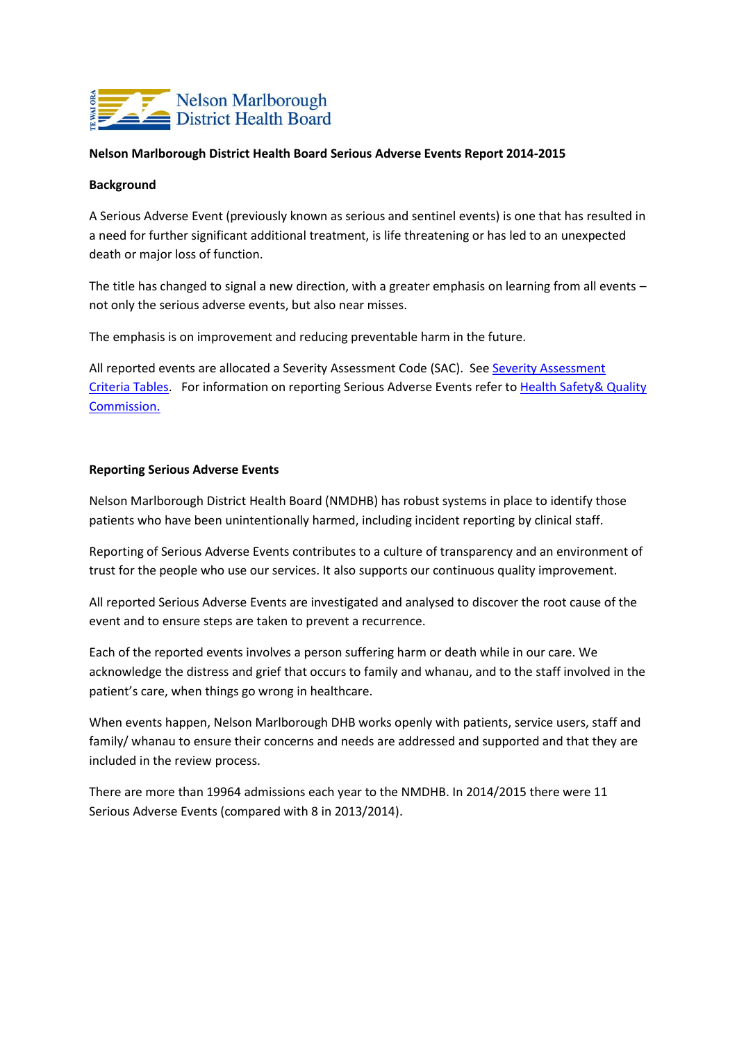

## **Nelson Marlborough District Health Board Serious Adverse Events Report 2014-2015**

## **Background**

A Serious Adverse Event (previously known as serious and sentinel events) is one that has resulted in a need for further significant additional treatment, is life threatening or has led to an unexpected death or major loss of function.

The title has changed to signal a new direction, with a greater emphasis on learning from all events – not only the serious adverse events, but also near misses.

The emphasis is on improvement and reducing preventable harm in the future.

All reported events are allocated a [Severity Assessment](http://www.hqsc.govt.nz/our-programmes/adverse-events/publications-and-resources/publication/636/) Code (SAC). See Severity Assessment [Criteria Tables.](http://www.hqsc.govt.nz/our-programmes/adverse-events/publications-and-resources/publication/636/) For information on reporting Serious Adverse Events refer to [Health Safety& Quality](http://www.hqsc.govt.nz/our-programmes/adverse-events/)  [Commission.](http://www.hqsc.govt.nz/our-programmes/adverse-events/)

## **Reporting Serious Adverse Events**

Nelson Marlborough District Health Board (NMDHB) has robust systems in place to identify those patients who have been unintentionally harmed, including incident reporting by clinical staff.

Reporting of Serious Adverse Events contributes to a culture of transparency and an environment of trust for the people who use our services. It also supports our continuous quality improvement.

All reported Serious Adverse Events are investigated and analysed to discover the root cause of the event and to ensure steps are taken to prevent a recurrence.

Each of the reported events involves a person suffering harm or death while in our care. We acknowledge the distress and grief that occurs to family and whanau, and to the staff involved in the patient's care, when things go wrong in healthcare.

When events happen, Nelson Marlborough DHB works openly with patients, service users, staff and family/ whanau to ensure their concerns and needs are addressed and supported and that they are included in the review process.

There are more than 19964 admissions each year to the NMDHB. In 2014/2015 there were 11 Serious Adverse Events (compared with 8 in 2013/2014).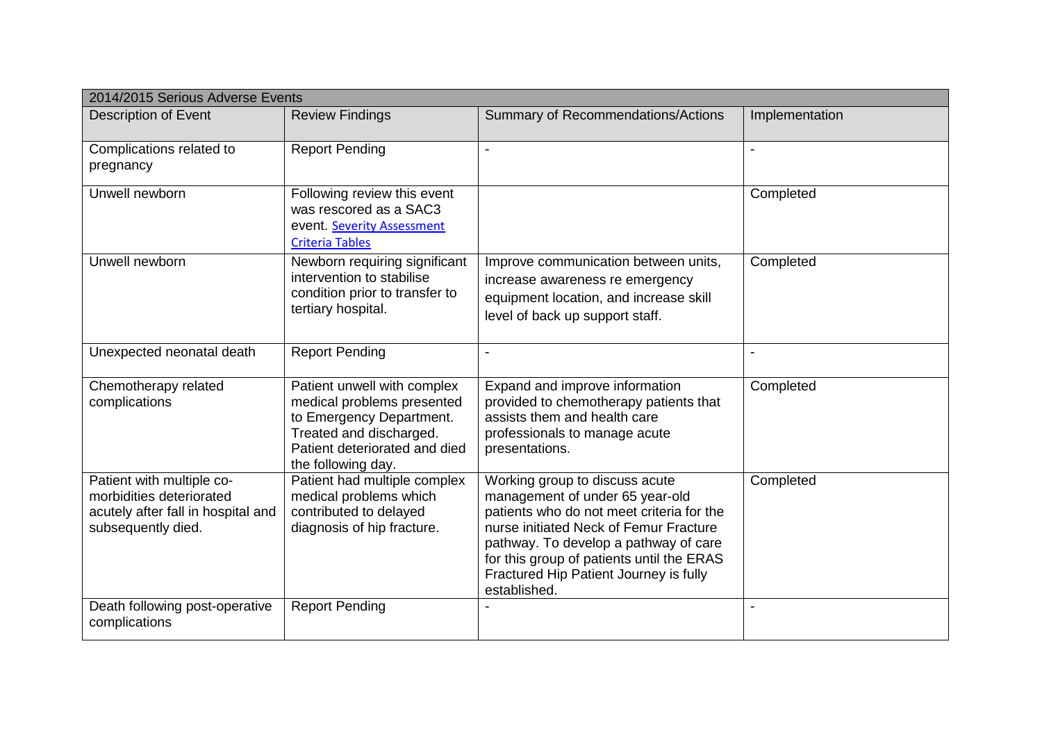| 2014/2015 Serious Adverse Events                                                                                  |                                                                                                                                                                         |                                                                                                                                                                                                                                                                                                          |                          |  |  |
|-------------------------------------------------------------------------------------------------------------------|-------------------------------------------------------------------------------------------------------------------------------------------------------------------------|----------------------------------------------------------------------------------------------------------------------------------------------------------------------------------------------------------------------------------------------------------------------------------------------------------|--------------------------|--|--|
| Description of Event                                                                                              | <b>Review Findings</b>                                                                                                                                                  | <b>Summary of Recommendations/Actions</b>                                                                                                                                                                                                                                                                | Implementation           |  |  |
| Complications related to<br>pregnancy                                                                             | <b>Report Pending</b>                                                                                                                                                   | $\blacksquare$                                                                                                                                                                                                                                                                                           | $\overline{\phantom{a}}$ |  |  |
| Unwell newborn                                                                                                    | Following review this event<br>was rescored as a SAC3<br>event. Severity Assessment<br><b>Criteria Tables</b>                                                           |                                                                                                                                                                                                                                                                                                          | Completed                |  |  |
| Unwell newborn                                                                                                    | Newborn requiring significant<br>intervention to stabilise<br>condition prior to transfer to<br>tertiary hospital.                                                      | Improve communication between units,<br>increase awareness re emergency<br>equipment location, and increase skill<br>level of back up support staff.                                                                                                                                                     | Completed                |  |  |
| Unexpected neonatal death                                                                                         | <b>Report Pending</b>                                                                                                                                                   |                                                                                                                                                                                                                                                                                                          |                          |  |  |
| Chemotherapy related<br>complications                                                                             | Patient unwell with complex<br>medical problems presented<br>to Emergency Department.<br>Treated and discharged.<br>Patient deteriorated and died<br>the following day. | Expand and improve information<br>provided to chemotherapy patients that<br>assists them and health care<br>professionals to manage acute<br>presentations.                                                                                                                                              | Completed                |  |  |
| Patient with multiple co-<br>morbidities deteriorated<br>acutely after fall in hospital and<br>subsequently died. | Patient had multiple complex<br>medical problems which<br>contributed to delayed<br>diagnosis of hip fracture.                                                          | Working group to discuss acute<br>management of under 65 year-old<br>patients who do not meet criteria for the<br>nurse initiated Neck of Femur Fracture<br>pathway. To develop a pathway of care<br>for this group of patients until the ERAS<br>Fractured Hip Patient Journey is fully<br>established. | Completed                |  |  |
| Death following post-operative<br>complications                                                                   | <b>Report Pending</b>                                                                                                                                                   |                                                                                                                                                                                                                                                                                                          |                          |  |  |